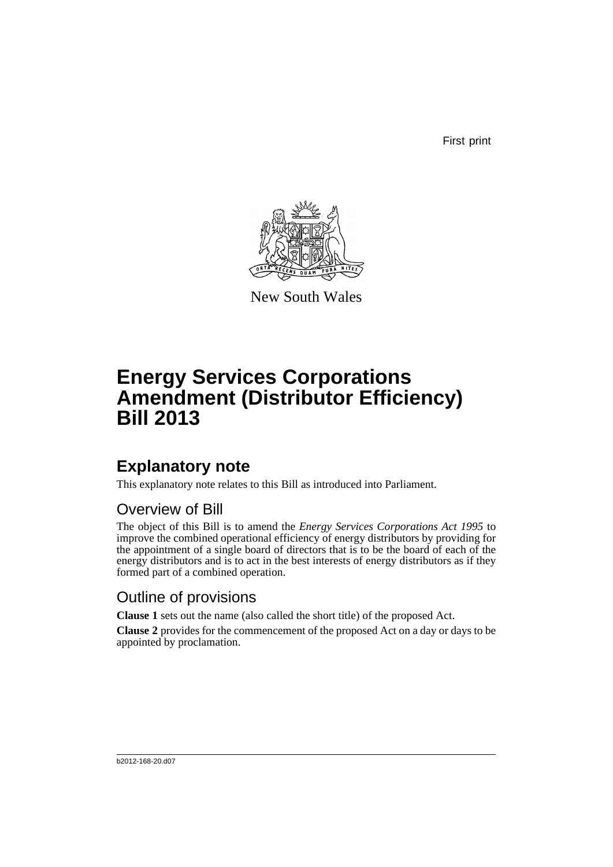First print



New South Wales

# **Energy Services Corporations Amendment (Distributor Efficiency) Bill 2013**

## **Explanatory note**

This explanatory note relates to this Bill as introduced into Parliament.

## Overview of Bill

The object of this Bill is to amend the *Energy Services Corporations Act 1995* to improve the combined operational efficiency of energy distributors by providing for the appointment of a single board of directors that is to be the board of each of the energy distributors and is to act in the best interests of energy distributors as if they formed part of a combined operation.

## Outline of provisions

**Clause 1** sets out the name (also called the short title) of the proposed Act.

**Clause 2** provides for the commencement of the proposed Act on a day or days to be appointed by proclamation.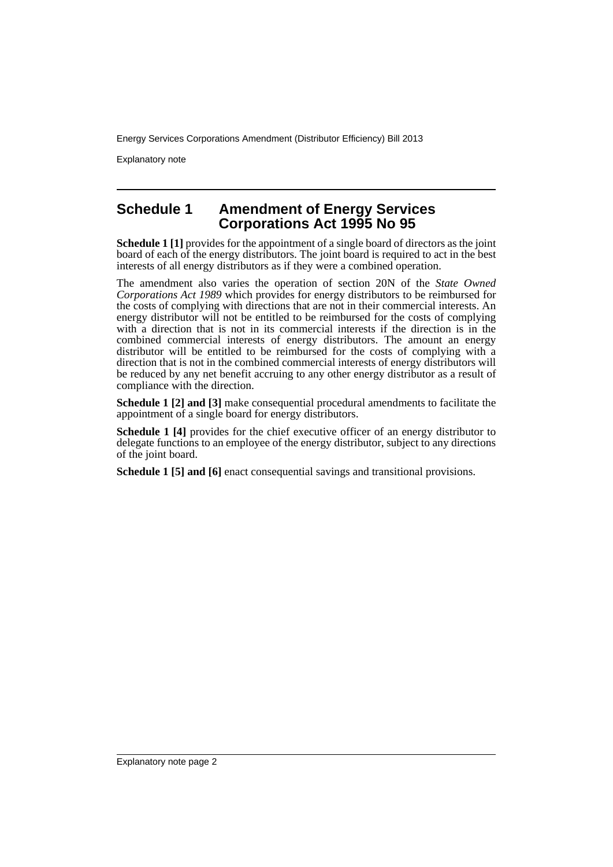Explanatory note

### **Schedule 1 Amendment of Energy Services Corporations Act 1995 No 95**

**Schedule 1 [1]** provides for the appointment of a single board of directors as the joint board of each of the energy distributors. The joint board is required to act in the best interests of all energy distributors as if they were a combined operation.

The amendment also varies the operation of section 20N of the *State Owned Corporations Act 1989* which provides for energy distributors to be reimbursed for the costs of complying with directions that are not in their commercial interests. An energy distributor will not be entitled to be reimbursed for the costs of complying with a direction that is not in its commercial interests if the direction is in the combined commercial interests of energy distributors. The amount an energy distributor will be entitled to be reimbursed for the costs of complying with a direction that is not in the combined commercial interests of energy distributors will be reduced by any net benefit accruing to any other energy distributor as a result of compliance with the direction.

**Schedule 1 [2] and [3]** make consequential procedural amendments to facilitate the appointment of a single board for energy distributors.

**Schedule 1 [4]** provides for the chief executive officer of an energy distributor to delegate functions to an employee of the energy distributor, subject to any directions of the joint board.

**Schedule 1 [5] and [6]** enact consequential savings and transitional provisions.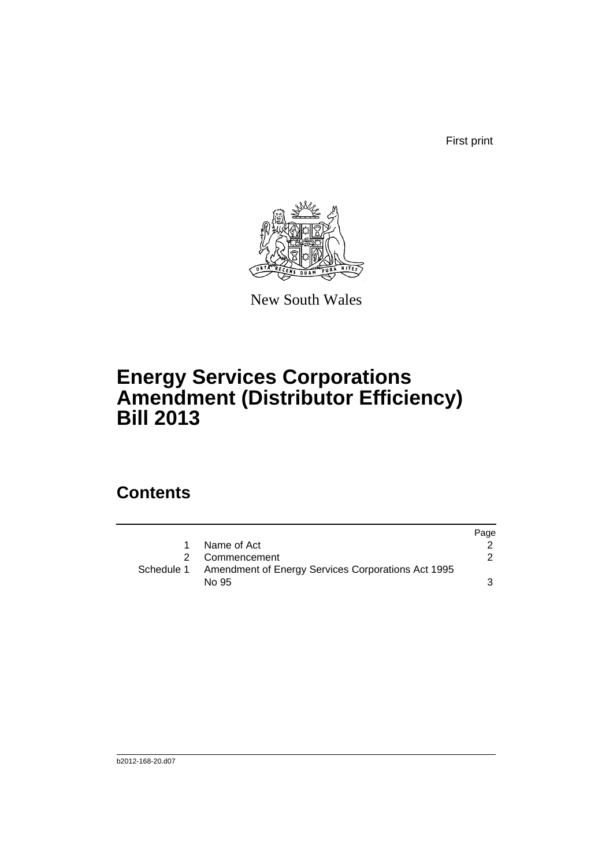First print



New South Wales

# **Energy Services Corporations Amendment (Distributor Efficiency) Bill 2013**

## **Contents**

|              |                                                               | Page |
|--------------|---------------------------------------------------------------|------|
| $\mathbf{1}$ | Name of Act                                                   |      |
|              | 2 Commencement                                                |      |
|              | Schedule 1 Amendment of Energy Services Corporations Act 1995 |      |
|              | No 95                                                         |      |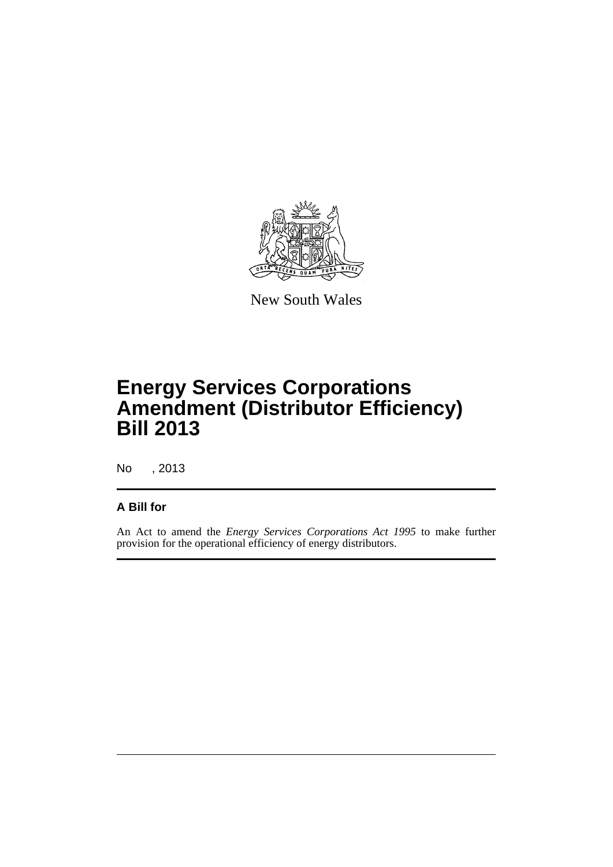

New South Wales

# **Energy Services Corporations Amendment (Distributor Efficiency) Bill 2013**

No , 2013

### **A Bill for**

An Act to amend the *Energy Services Corporations Act 1995* to make further provision for the operational efficiency of energy distributors.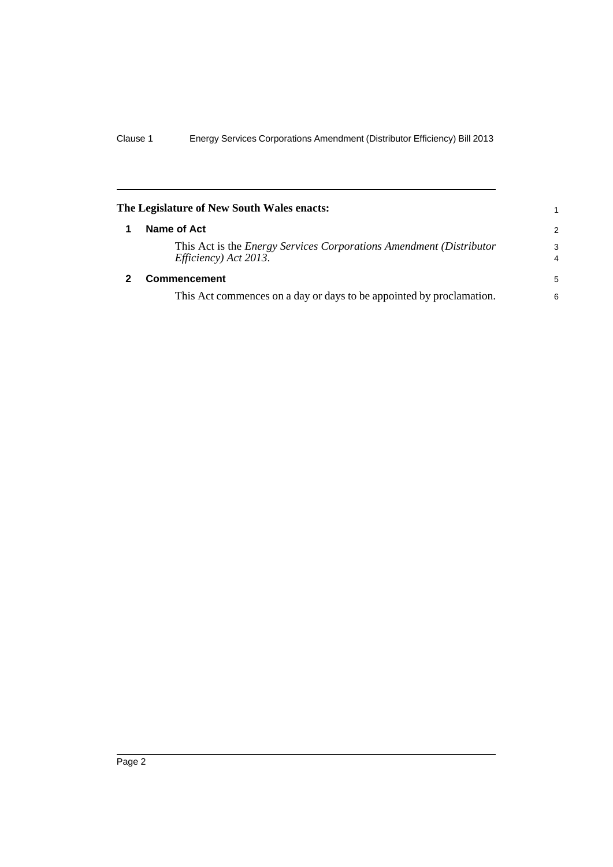<span id="page-5-1"></span><span id="page-5-0"></span>

| The Legislature of New South Wales enacts:                                                          |                     |
|-----------------------------------------------------------------------------------------------------|---------------------|
| Name of Act                                                                                         | 2                   |
| This Act is the <i>Energy Services Corporations Amendment (Distributor</i><br>Efficiency) Act 2013. | 3<br>$\overline{4}$ |
| <b>Commencement</b>                                                                                 | 5                   |
| This Act commences on a day or days to be appointed by proclamation.                                | 6                   |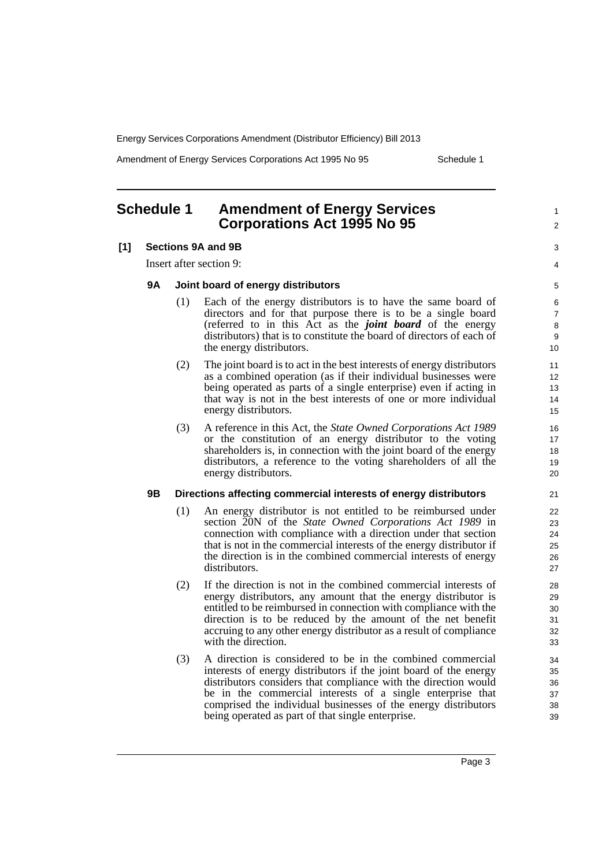Amendment of Energy Services Corporations Act 1995 No 95 Schedule 1

1  $\overline{2}$ 

 $\overline{a}$ 4

### <span id="page-6-0"></span>**Schedule 1 Amendment of Energy Services Corporations Act 1995 No 95**

#### **[1] Sections 9A and 9B**

Insert after section 9:

#### **9A Joint board of energy distributors**

- (1) Each of the energy distributors is to have the same board of directors and for that purpose there is to be a single board (referred to in this Act as the *joint board* of the energy distributors) that is to constitute the board of directors of each of the energy distributors.
- (2) The joint board is to act in the best interests of energy distributors as a combined operation (as if their individual businesses were being operated as parts of a single enterprise) even if acting in that way is not in the best interests of one or more individual energy distributors.
- (3) A reference in this Act, the *State Owned Corporations Act 1989* or the constitution of an energy distributor to the voting shareholders is, in connection with the joint board of the energy distributors, a reference to the voting shareholders of all the energy distributors.

#### **9B Directions affecting commercial interests of energy distributors**

- (1) An energy distributor is not entitled to be reimbursed under section 20N of the *State Owned Corporations Act 1989* in connection with compliance with a direction under that section that is not in the commercial interests of the energy distributor if the direction is in the combined commercial interests of energy distributors.
- (2) If the direction is not in the combined commercial interests of energy distributors, any amount that the energy distributor is entitled to be reimbursed in connection with compliance with the direction is to be reduced by the amount of the net benefit accruing to any other energy distributor as a result of compliance with the direction.
- (3) A direction is considered to be in the combined commercial interests of energy distributors if the joint board of the energy distributors considers that compliance with the direction would be in the commercial interests of a single enterprise that comprised the individual businesses of the energy distributors being operated as part of that single enterprise.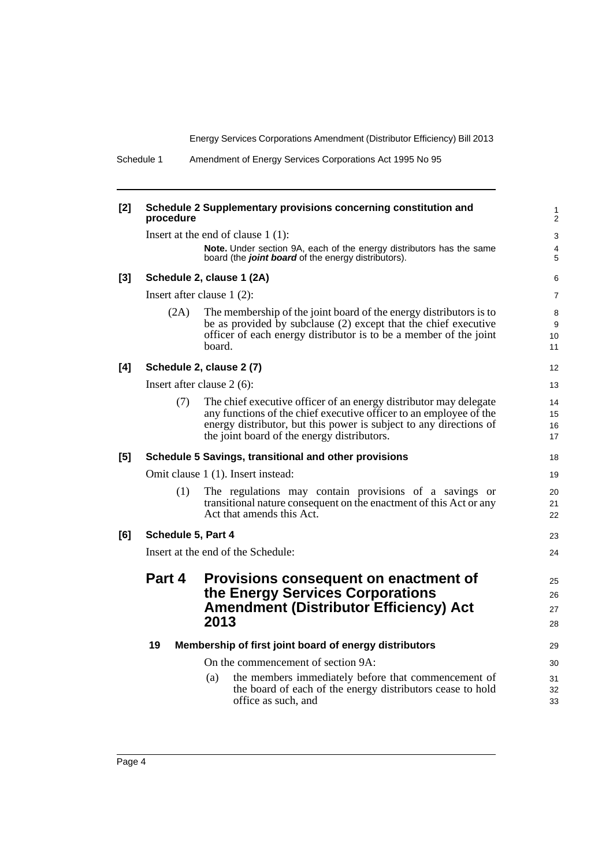23 24

Schedule 1 Amendment of Energy Services Corporations Act 1995 No 95

| [2]   | procedure                                                    | Schedule 2 Supplementary provisions concerning constitution and                                                                                                                                                                                              |  |
|-------|--------------------------------------------------------------|--------------------------------------------------------------------------------------------------------------------------------------------------------------------------------------------------------------------------------------------------------------|--|
|       |                                                              | Insert at the end of clause $1(1)$ :                                                                                                                                                                                                                         |  |
|       |                                                              | Note. Under section 9A, each of the energy distributors has the same<br>board (the joint board of the energy distributors).                                                                                                                                  |  |
| $[3]$ | Schedule 2, clause 1 (2A)                                    |                                                                                                                                                                                                                                                              |  |
|       | Insert after clause $1(2)$ :                                 |                                                                                                                                                                                                                                                              |  |
|       | (2A)                                                         | The membership of the joint board of the energy distributors is to<br>be as provided by subclause (2) except that the chief executive<br>officer of each energy distributor is to be a member of the joint<br>board.                                         |  |
| [4]   | Schedule 2, clause 2 (7)                                     |                                                                                                                                                                                                                                                              |  |
|       | Insert after clause $2(6)$ :                                 |                                                                                                                                                                                                                                                              |  |
|       | (7)                                                          | The chief executive officer of an energy distributor may delegate<br>any functions of the chief executive officer to an employee of the<br>energy distributor, but this power is subject to any directions of<br>the joint board of the energy distributors. |  |
| [5]   |                                                              | Schedule 5 Savings, transitional and other provisions                                                                                                                                                                                                        |  |
|       |                                                              | Omit clause 1 (1). Insert instead:                                                                                                                                                                                                                           |  |
|       | (1)                                                          | The regulations may contain provisions of a savings or<br>transitional nature consequent on the enactment of this Act or any<br>Act that amends this Act.                                                                                                    |  |
| [6]   | Schedule 5, Part 4                                           |                                                                                                                                                                                                                                                              |  |
|       | Insert at the end of the Schedule:                           |                                                                                                                                                                                                                                                              |  |
|       | Part 4                                                       | Provisions consequent on enactment of                                                                                                                                                                                                                        |  |
|       |                                                              | the Energy Services Corporations<br><b>Amendment (Distributor Efficiency) Act</b><br>2013                                                                                                                                                                    |  |
|       | 19<br>Membership of first joint board of energy distributors |                                                                                                                                                                                                                                                              |  |
|       |                                                              | On the commencement of section 9A:                                                                                                                                                                                                                           |  |

(a) the members immediately before that commencement of the board of each of the energy distributors cease to hold

office as such, and